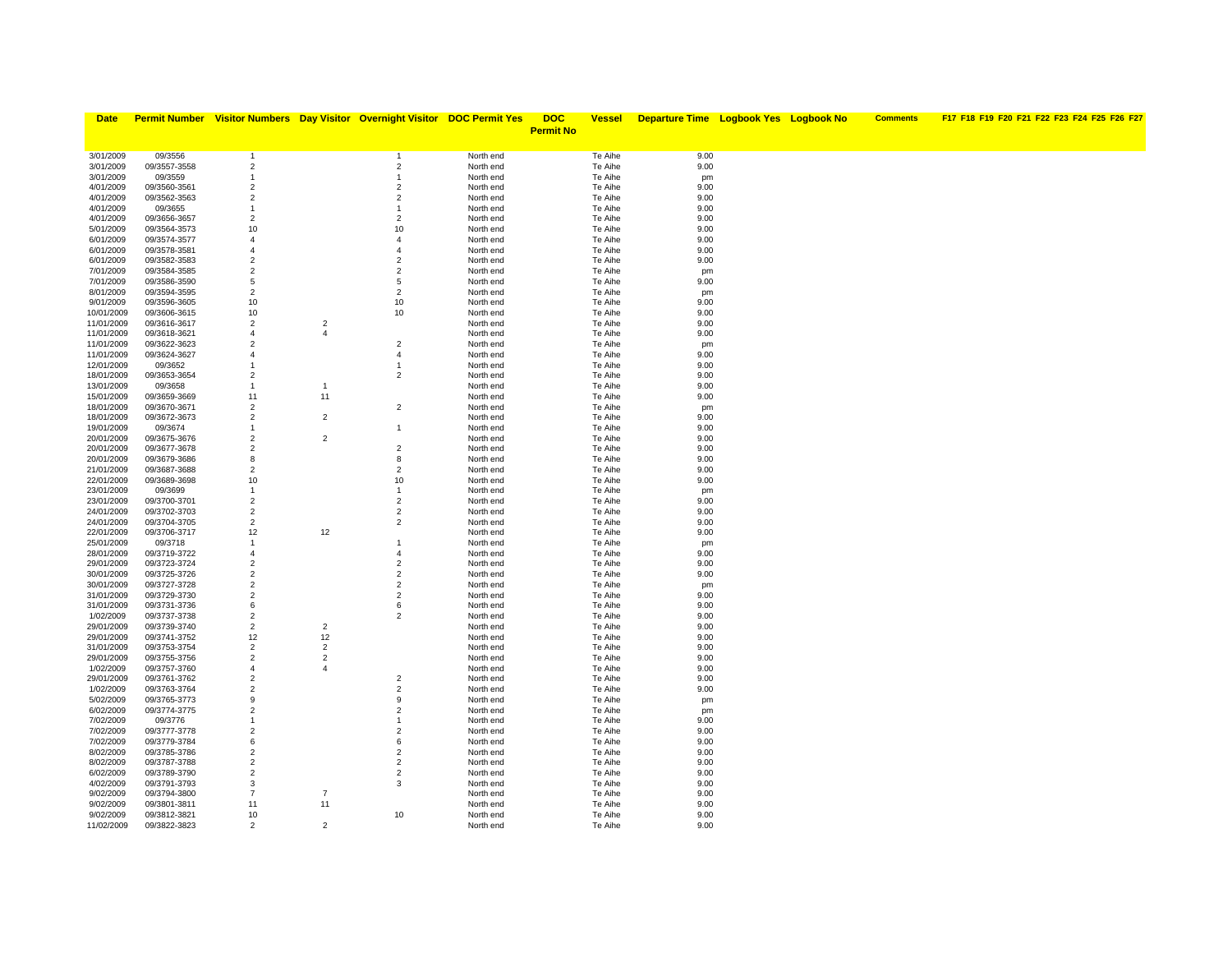| <b>Date</b>              |                              |                                  |                | <b>Permit Number</b> Visitor Numbers Day Visitor Overnight Visitor DOC Permit Yes |                        | <b>DOC</b>       | <b>Vessel</b>      | <b>Departure Time Logbook Yes Logbook No</b> |  | <b>Comments</b> | F17 F18 F19 F20 F21 F22 F23 F24 F25 F26 F27 |
|--------------------------|------------------------------|----------------------------------|----------------|-----------------------------------------------------------------------------------|------------------------|------------------|--------------------|----------------------------------------------|--|-----------------|---------------------------------------------|
|                          |                              |                                  |                |                                                                                   |                        | <b>Permit No</b> |                    |                                              |  |                 |                                             |
|                          |                              |                                  |                |                                                                                   |                        |                  |                    |                                              |  |                 |                                             |
| 3/01/2009                | 09/3556                      | $\overline{1}$                   |                | $\overline{1}$                                                                    | North end              |                  | Te Aihe            | 9.00                                         |  |                 |                                             |
| 3/01/2009                | 09/3557-3558                 | $\overline{2}$                   |                | $\overline{2}$                                                                    | North end              |                  | Te Aihe            | 9.00                                         |  |                 |                                             |
| 3/01/2009                | 09/3559                      | -1                               |                | -1                                                                                | North end              |                  | Te Aihe            | pm                                           |  |                 |                                             |
| 4/01/2009                | 09/3560-3561                 | $\overline{2}$                   |                | $\overline{2}$                                                                    | North end              |                  | Te Aihe            | 9.00                                         |  |                 |                                             |
| 4/01/2009                | 09/3562-3563                 | $\overline{2}$                   |                | $\overline{2}$                                                                    | North end              |                  | Te Aihe            | 9.00                                         |  |                 |                                             |
| 4/01/2009                | 09/3655                      | $\mathbf{1}$                     |                | $\overline{1}$                                                                    | North end              |                  | Te Aihe            | 9.00                                         |  |                 |                                             |
| 4/01/2009                | 09/3656-3657                 | $\overline{2}$                   |                | $\overline{2}$                                                                    | North end              |                  | Te Aihe            | 9.00                                         |  |                 |                                             |
| 5/01/2009                | 09/3564-3573                 | 10                               |                | 10                                                                                | North end              |                  | Te Aihe            | 9.00                                         |  |                 |                                             |
| 6/01/2009                | 09/3574-3577                 | $\overline{4}$                   |                | $\overline{4}$                                                                    | North end              |                  | Te Aihe            | 9.00                                         |  |                 |                                             |
| 6/01/2009                | 09/3578-3581                 | $\overline{4}$<br>$\overline{2}$ |                | $\overline{4}$<br>$\overline{2}$                                                  | North end              |                  | Te Aihe            | 9.00<br>9.00                                 |  |                 |                                             |
| 6/01/2009<br>7/01/2009   | 09/3582-3583<br>09/3584-3585 | $\overline{2}$                   |                | 2                                                                                 | North end<br>North end |                  | Te Aihe<br>Te Aihe |                                              |  |                 |                                             |
| 7/01/2009                | 09/3586-3590                 | 5                                |                | 5                                                                                 | North end              |                  | Te Aihe            | pm<br>9.00                                   |  |                 |                                             |
| 8/01/2009                | 09/3594-3595                 | $\overline{2}$                   |                | $\overline{2}$                                                                    | North end              |                  | Te Aihe            | pm                                           |  |                 |                                             |
| 9/01/2009                | 09/3596-3605                 | 10                               |                | 10                                                                                | North end              |                  | Te Aihe            | 9.00                                         |  |                 |                                             |
| 10/01/2009               | 09/3606-3615                 | 10                               |                | 10                                                                                | North end              |                  | Te Aihe            | 9.00                                         |  |                 |                                             |
| 11/01/2009               | 09/3616-3617                 | $\overline{2}$                   | $\overline{2}$ |                                                                                   | North end              |                  | Te Aihe            | 9.00                                         |  |                 |                                             |
| 11/01/2009               | 09/3618-3621                 | $\overline{4}$                   | $\overline{4}$ |                                                                                   | North end              |                  | Te Aihe            | 9.00                                         |  |                 |                                             |
| 11/01/2009               | 09/3622-3623                 | $\overline{2}$                   |                | $\overline{2}$                                                                    | North end              |                  | Te Aihe            | pm                                           |  |                 |                                             |
| 11/01/2009               | 09/3624-3627                 | $\overline{4}$                   |                | $\overline{4}$                                                                    | North end              |                  | Te Aihe            | 9.00                                         |  |                 |                                             |
| 12/01/2009               | 09/3652                      | 1                                |                | $\overline{1}$                                                                    | North end              |                  | Te Aihe            | 9.00                                         |  |                 |                                             |
| 18/01/2009               | 09/3653-3654                 | $\overline{2}$                   |                | 2                                                                                 | North end              |                  | Te Aihe            | 9.00                                         |  |                 |                                             |
| 13/01/2009               | 09/3658                      | $\mathbf{1}$                     | -1             |                                                                                   | North end              |                  | Te Aihe            | 9.00                                         |  |                 |                                             |
| 15/01/2009               | 09/3659-3669                 | 11                               | 11             |                                                                                   | North end              |                  | Te Aihe            | 9.00                                         |  |                 |                                             |
| 18/01/2009               | 09/3670-3671                 | $\overline{2}$                   |                | $\overline{2}$                                                                    | North end              |                  | Te Aihe            | pm                                           |  |                 |                                             |
| 18/01/2009               | 09/3672-3673                 | $\overline{2}$                   | $\overline{2}$ |                                                                                   | North end              |                  | Te Aihe            | 9.00                                         |  |                 |                                             |
| 19/01/2009               | 09/3674                      | 1<br>$\overline{2}$              | $\overline{2}$ | $\mathbf{1}$                                                                      | North end              |                  | Te Aihe            | 9.00                                         |  |                 |                                             |
| 20/01/2009<br>20/01/2009 | 09/3675-3676<br>09/3677-3678 | $\overline{2}$                   |                | $\overline{2}$                                                                    | North end<br>North end |                  | Te Aihe<br>Te Aihe | 9.00<br>9.00                                 |  |                 |                                             |
| 20/01/2009               | 09/3679-3686                 | 8                                |                | 8                                                                                 | North end              |                  | Te Aihe            | 9.00                                         |  |                 |                                             |
| 21/01/2009               | 09/3687-3688                 | $\overline{2}$                   |                | $\overline{2}$                                                                    | North end              |                  | Te Aihe            | 9.00                                         |  |                 |                                             |
| 22/01/2009               | 09/3689-3698                 | 10                               |                | 10                                                                                | North end              |                  | Te Aihe            | 9.00                                         |  |                 |                                             |
| 23/01/2009               | 09/3699                      | $\mathbf{1}$                     |                | $\mathbf{1}$                                                                      | North end              |                  | Te Aihe            | pm                                           |  |                 |                                             |
| 23/01/2009               | 09/3700-3701                 | $\overline{2}$                   |                | $\overline{2}$                                                                    | North end              |                  | Te Aihe            | 9.00                                         |  |                 |                                             |
| 24/01/2009               | 09/3702-3703                 | $\overline{2}$                   |                | $\overline{2}$                                                                    | North end              |                  | Te Aihe            | 9.00                                         |  |                 |                                             |
| 24/01/2009               | 09/3704-3705                 | $\overline{2}$                   |                | $\overline{2}$                                                                    | North end              |                  | Te Aihe            | 9.00                                         |  |                 |                                             |
| 22/01/2009               | 09/3706-3717                 | 12                               | 12             |                                                                                   | North end              |                  | Te Aihe            | 9.00                                         |  |                 |                                             |
| 25/01/2009               | 09/3718                      | $\mathbf{1}$                     |                | 1                                                                                 | North end              |                  | Te Aihe            | pm                                           |  |                 |                                             |
| 28/01/2009               | 09/3719-3722                 | $\overline{4}$                   |                | $\overline{4}$                                                                    | North end              |                  | Te Aihe            | 9.00                                         |  |                 |                                             |
| 29/01/2009               | 09/3723-3724                 | $\overline{2}$                   |                | $\overline{2}$                                                                    | North end              |                  | Te Aihe            | 9.00                                         |  |                 |                                             |
| 30/01/2009               | 09/3725-3726                 | $\overline{2}$                   |                | $\overline{2}$                                                                    | North end              |                  | Te Aihe            | 9.00                                         |  |                 |                                             |
| 30/01/2009               | 09/3727-3728                 | $\overline{2}$<br>$\overline{2}$ |                | $\overline{2}$<br>$\overline{2}$                                                  | North end              |                  | Te Aihe            | pm                                           |  |                 |                                             |
| 31/01/2009<br>31/01/2009 | 09/3729-3730<br>09/3731-3736 | 6                                |                | 6                                                                                 | North end<br>North end |                  | Te Aihe<br>Te Aihe | 9.00<br>9.00                                 |  |                 |                                             |
| 1/02/2009                | 09/3737-3738                 | $\overline{2}$                   |                | 2                                                                                 | North end              |                  | Te Aihe            | 9.00                                         |  |                 |                                             |
| 29/01/2009               | 09/3739-3740                 | $\overline{2}$                   | $\overline{2}$ |                                                                                   | North end              |                  | Te Aihe            | 9.00                                         |  |                 |                                             |
| 29/01/2009               | 09/3741-3752                 | 12                               | 12             |                                                                                   | North end              |                  | Te Aihe            | 9.00                                         |  |                 |                                             |
| 31/01/2009               | 09/3753-3754                 | $\overline{2}$                   | $\overline{2}$ |                                                                                   | North end              |                  | Te Aihe            | 9.00                                         |  |                 |                                             |
| 29/01/2009               | 09/3755-3756                 | $\overline{2}$                   | $\overline{2}$ |                                                                                   | North end              |                  | Te Aihe            | 9.00                                         |  |                 |                                             |
| 1/02/2009                | 09/3757-3760                 | $\overline{4}$                   | $\overline{4}$ |                                                                                   | North end              |                  | Te Aihe            | 9.00                                         |  |                 |                                             |
| 29/01/2009               | 09/3761-3762                 | $\overline{2}$                   |                | $\overline{2}$                                                                    | North end              |                  | Te Aihe            | 9.00                                         |  |                 |                                             |
| 1/02/2009                | 09/3763-3764                 | $\overline{2}$                   |                | $\overline{2}$                                                                    | North end              |                  | Te Aihe            | 9.00                                         |  |                 |                                             |
| 5/02/2009                | 09/3765-3773                 | 9                                |                | 9                                                                                 | North end              |                  | Te Aihe            | pm                                           |  |                 |                                             |
| 6/02/2009                | 09/3774-3775                 | $\overline{2}$                   |                | $\overline{2}$                                                                    | North end              |                  | Te Aihe            | pm                                           |  |                 |                                             |
| 7/02/2009                | 09/3776                      | $\mathbf{1}$                     |                | $\mathbf{1}$                                                                      | North end              |                  | Te Aihe            | 9.00                                         |  |                 |                                             |
| 7/02/2009                | 09/3777-3778                 | $\overline{2}$                   |                | $\overline{2}$                                                                    | North end              |                  | Te Aihe            | 9.00                                         |  |                 |                                             |
| 7/02/2009                | 09/3779-3784                 | 6                                |                | 6                                                                                 | North end              |                  | Te Aihe            | 9.00                                         |  |                 |                                             |
| 8/02/2009                | 09/3785-3786                 | $\overline{2}$                   |                | $\overline{2}$                                                                    | North end              |                  | Te Aihe            | 9.00                                         |  |                 |                                             |
| 8/02/2009<br>6/02/2009   | 09/3787-3788<br>09/3789-3790 | $\overline{2}$<br>$\overline{2}$ |                | $\overline{2}$<br>$\overline{2}$                                                  | North end<br>North end |                  | Te Aihe<br>Te Aihe | 9.00<br>9.00                                 |  |                 |                                             |
| 4/02/2009                | 09/3791-3793                 | 3                                |                | 3                                                                                 | North end              |                  | Te Aihe            | 9.00                                         |  |                 |                                             |
| 9/02/2009                | 09/3794-3800                 | $\overline{7}$                   | $\overline{7}$ |                                                                                   | North end              |                  | Te Aihe            | 9.00                                         |  |                 |                                             |
| 9/02/2009                | 09/3801-3811                 | 11                               | 11             |                                                                                   | North end              |                  | Te Aihe            | 9.00                                         |  |                 |                                             |
| 9/02/2009                | 09/3812-3821                 | 10                               |                | 10                                                                                | North end              |                  | Te Aihe            | 9.00                                         |  |                 |                                             |
| 11/02/2009               | 09/3822-3823                 | $\overline{2}$                   | $\overline{2}$ |                                                                                   | North end              |                  | Te Aihe            | 9.00                                         |  |                 |                                             |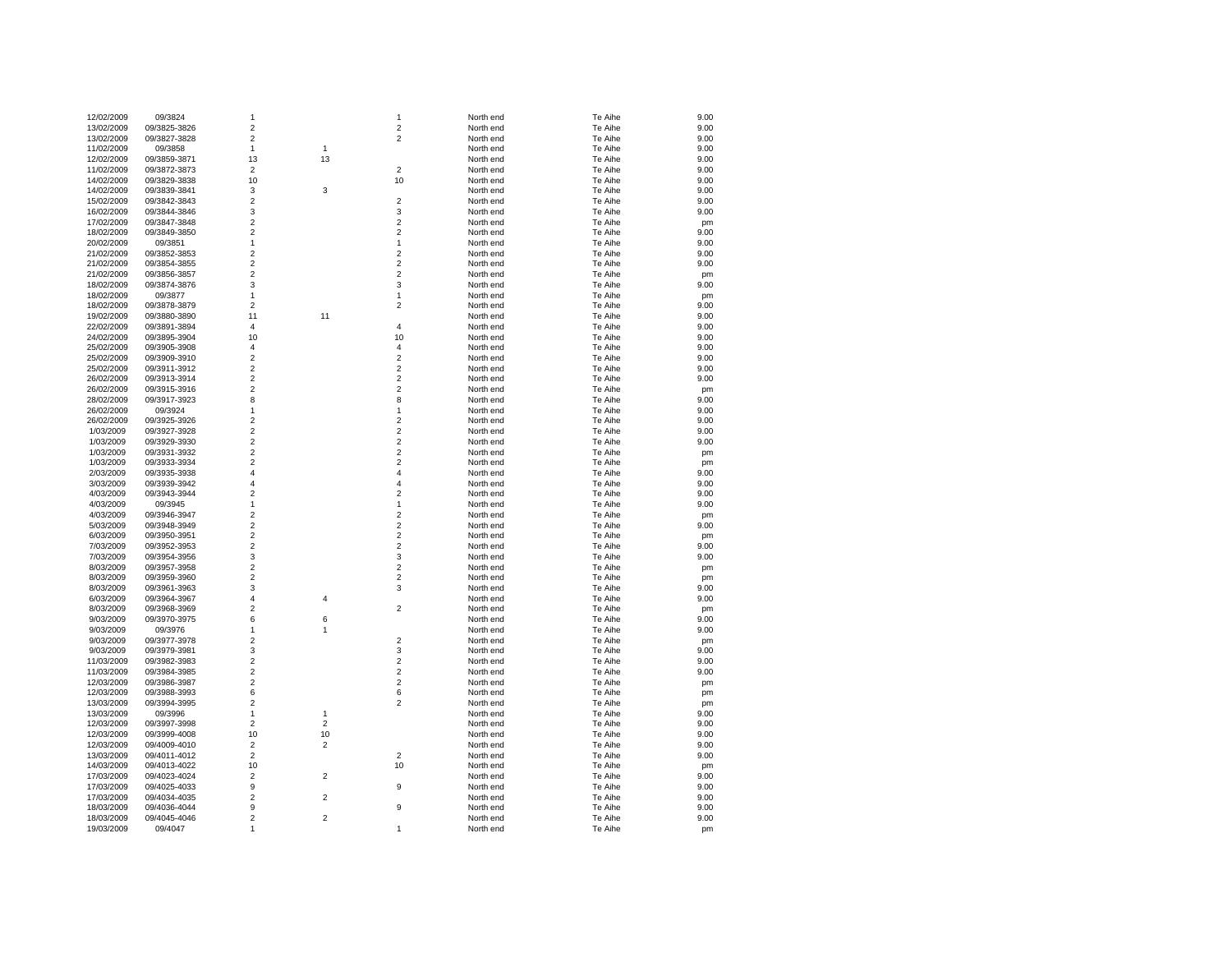| 12/02/2009 | 09/3824      | 1              |                | 1                       | North end | Te Aihe | 9.00 |
|------------|--------------|----------------|----------------|-------------------------|-----------|---------|------|
| 13/02/2009 | 09/3825-3826 | $\overline{c}$ |                | $\overline{\mathbf{c}}$ | North end | Te Aihe | 9.00 |
| 13/02/2009 | 09/3827-3828 | $\overline{c}$ |                | $\overline{2}$          | North end | Te Aihe | 9.00 |
| 11/02/2009 | 09/3858      | 1              | $\mathbf{1}$   |                         | North end | Te Aihe | 9.00 |
| 12/02/2009 | 09/3859-3871 | 13             | 13             |                         | North end | Te Aihe | 9.00 |
| 11/02/2009 | 09/3872-3873 | $\overline{2}$ |                | $\overline{2}$          | North end | Te Aihe | 9.00 |
| 14/02/2009 | 09/3829-3838 | 10             |                | 10                      | North end | Te Aihe | 9.00 |
| 14/02/2009 | 09/3839-3841 | 3              | 3              |                         | North end | Te Aihe | 9.00 |
| 15/02/2009 | 09/3842-3843 | $\overline{2}$ |                | $\overline{2}$          | North end | Te Aihe | 9.00 |
| 16/02/2009 | 09/3844-3846 | 3              |                | 3                       | North end | Te Aihe | 9.00 |
| 17/02/2009 | 09/3847-3848 | $\overline{2}$ |                | $\overline{\mathbf{c}}$ | North end | Te Aihe | pm   |
| 18/02/2009 | 09/3849-3850 | $\overline{2}$ |                | $\overline{2}$          | North end | Te Aihe | 9.00 |
| 20/02/2009 | 09/3851      | 1              |                | 1                       | North end | Te Aihe | 9.00 |
| 21/02/2009 | 09/3852-3853 | 2              |                | 2                       | North end | Te Aihe | 9.00 |
| 21/02/2009 | 09/3854-3855 | $\overline{c}$ |                | $\overline{c}$          | North end | Te Aihe | 9.00 |
| 21/02/2009 | 09/3856-3857 | $\overline{c}$ |                | $\overline{c}$          | North end | Te Aihe | pm   |
| 18/02/2009 | 09/3874-3876 | 3              |                | 3                       | North end | Te Aihe | 9.00 |
| 18/02/2009 | 09/3877      | 1              |                | 1                       | North end | Te Aihe | pm   |
| 18/02/2009 | 09/3878-3879 | $\overline{c}$ |                | $\overline{\mathbf{c}}$ | North end | Te Aihe | 9.00 |
| 19/02/2009 | 09/3880-3890 | 11             | 11             |                         | North end | Te Aihe | 9.00 |
| 22/02/2009 | 09/3891-3894 | $\overline{4}$ |                | 4                       | North end | Te Aihe | 9.00 |
| 24/02/2009 | 09/3895-3904 | 10             |                | 10                      | North end | Te Aihe | 9.00 |
| 25/02/2009 | 09/3905-3908 | $\overline{4}$ |                | 4                       | North end | Te Aihe | 9.00 |
| 25/02/2009 | 09/3909-3910 | $\overline{2}$ |                | $\overline{2}$          | North end | Te Aihe | 9.00 |
| 25/02/2009 |              | $\overline{2}$ |                | $\overline{c}$          | North end | Te Aihe | 9.00 |
|            | 09/3911-3912 | $\overline{c}$ |                | $\overline{c}$          |           |         |      |
| 26/02/2009 | 09/3913-3914 | $\overline{2}$ |                |                         | North end | Te Aihe | 9.00 |
| 26/02/2009 | 09/3915-3916 |                |                | $\overline{\mathbf{c}}$ | North end | Te Aihe | pm   |
| 28/02/2009 | 09/3917-3923 | 8              |                | 8                       | North end | Te Aihe | 9.00 |
| 26/02/2009 | 09/3924      | 1              |                | 1                       | North end | Te Aihe | 9.00 |
| 26/02/2009 | 09/3925-3926 | $\overline{2}$ |                | $\overline{\mathbf{c}}$ | North end | Te Aihe | 9.00 |
| 1/03/2009  | 09/3927-3928 | $\overline{2}$ |                | $\overline{\mathbf{c}}$ | North end | Te Aihe | 9.00 |
| 1/03/2009  | 09/3929-3930 | $\overline{2}$ |                | $\overline{c}$          | North end | Te Aihe | 9.00 |
| 1/03/2009  | 09/3931-3932 | $\overline{2}$ |                | $\overline{2}$          | North end | Te Aihe | pm   |
| 1/03/2009  | 09/3933-3934 | $\overline{c}$ |                | $\overline{\mathbf{c}}$ | North end | Te Aihe | pm   |
| 2/03/2009  | 09/3935-3938 | 4              |                | 4                       | North end | Te Aihe | 9.00 |
| 3/03/2009  | 09/3939-3942 | $\overline{4}$ |                | 4                       | North end | Te Aihe | 9.00 |
| 4/03/2009  | 09/3943-3944 | $\overline{2}$ |                | $\overline{c}$          | North end | Te Aihe | 9.00 |
| 4/03/2009  | 09/3945      | 1              |                | 1                       | North end | Te Aihe | 9.00 |
| 4/03/2009  | 09/3946-3947 | $\overline{2}$ |                | $\overline{2}$          | North end | Te Aihe | pm   |
| 5/03/2009  | 09/3948-3949 | $\mathbf 2$    |                | $\boldsymbol{2}$        | North end | Te Aihe | 9.00 |
| 6/03/2009  | 09/3950-3951 | $\overline{2}$ |                | $\overline{c}$          | North end | Te Aihe | pm   |
| 7/03/2009  | 09/3952-3953 | $\overline{c}$ |                | $\overline{\mathbf{c}}$ | North end | Te Aihe | 9.00 |
| 7/03/2009  | 09/3954-3956 | 3              |                | 3                       | North end | Te Aihe | 9.00 |
| 8/03/2009  | 09/3957-3958 | $\overline{2}$ |                | $\overline{\mathbf{c}}$ | North end | Te Aihe | pm   |
| 8/03/2009  | 09/3959-3960 | $\overline{c}$ |                | $\overline{\mathbf{c}}$ | North end | Te Aihe | pm   |
| 8/03/2009  | 09/3961-3963 | 3              |                | 3                       | North end | Te Aihe | 9.00 |
| 6/03/2009  | 09/3964-3967 | 4              | 4              |                         | North end | Te Aihe | 9.00 |
| 8/03/2009  | 09/3968-3969 | $\overline{2}$ |                | $\overline{\mathbf{c}}$ | North end | Te Aihe | pm   |
| 9/03/2009  | 09/3970-3975 | 6              | 6              |                         | North end | Te Aihe | 9.00 |
| 9/03/2009  | 09/3976      | 1              | 1              |                         | North end | Te Aihe | 9.00 |
| 9/03/2009  | 09/3977-3978 | $\overline{2}$ |                | $\overline{2}$          | North end | Te Aihe | pm   |
| 9/03/2009  | 09/3979-3981 | 3              |                | 3                       | North end | Te Aihe | 9.00 |
| 11/03/2009 | 09/3982-3983 | $\overline{c}$ |                | $\overline{\mathbf{c}}$ | North end | Te Aihe | 9.00 |
| 11/03/2009 | 09/3984-3985 | $\overline{c}$ |                | $\overline{\mathbf{c}}$ | North end | Te Aihe | 9.00 |
| 12/03/2009 | 09/3986-3987 | $\overline{2}$ |                | $\overline{2}$          | North end | Te Aihe | pm   |
| 12/03/2009 | 09/3988-3993 | 6              |                | 6                       | North end | Te Aihe | pm   |
| 13/03/2009 | 09/3994-3995 | $\overline{2}$ |                | $\overline{2}$          | North end | Te Aihe | pm   |
| 13/03/2009 | 09/3996      | $\mathbf{1}$   | $\mathbf{1}$   |                         | North end | Te Aihe | 9.00 |
| 12/03/2009 | 09/3997-3998 | $\overline{2}$ | $\overline{2}$ |                         | North end | Te Aihe | 9.00 |
| 12/03/2009 | 09/3999-4008 | 10             | 10             |                         | North end | Te Aihe | 9.00 |
| 12/03/2009 | 09/4009-4010 | $\overline{2}$ | $\overline{2}$ |                         | North end | Te Aihe | 9.00 |
| 13/03/2009 | 09/4011-4012 | $\overline{c}$ |                | 2                       | North end | Te Aihe | 9.00 |
| 14/03/2009 | 09/4013-4022 | 10             |                | 10                      | North end | Te Aihe | pm   |
| 17/03/2009 | 09/4023-4024 | $\overline{c}$ | $\overline{2}$ |                         | North end | Te Aihe | 9.00 |
| 17/03/2009 | 09/4025-4033 | 9              |                | 9                       | North end | Te Aihe | 9.00 |
| 17/03/2009 | 09/4034-4035 | $\overline{2}$ | $\overline{2}$ |                         | North end | Te Aihe | 9.00 |
| 18/03/2009 | 09/4036-4044 | 9              |                | 9                       | North end | Te Aihe | 9.00 |
| 18/03/2009 | 09/4045-4046 | $\overline{2}$ | $\overline{2}$ |                         | North end | Te Aihe | 9.00 |
| 19/03/2009 | 09/4047      | 1              |                | 1                       | North end | Te Aihe | pm   |
|            |              |                |                |                         |           |         |      |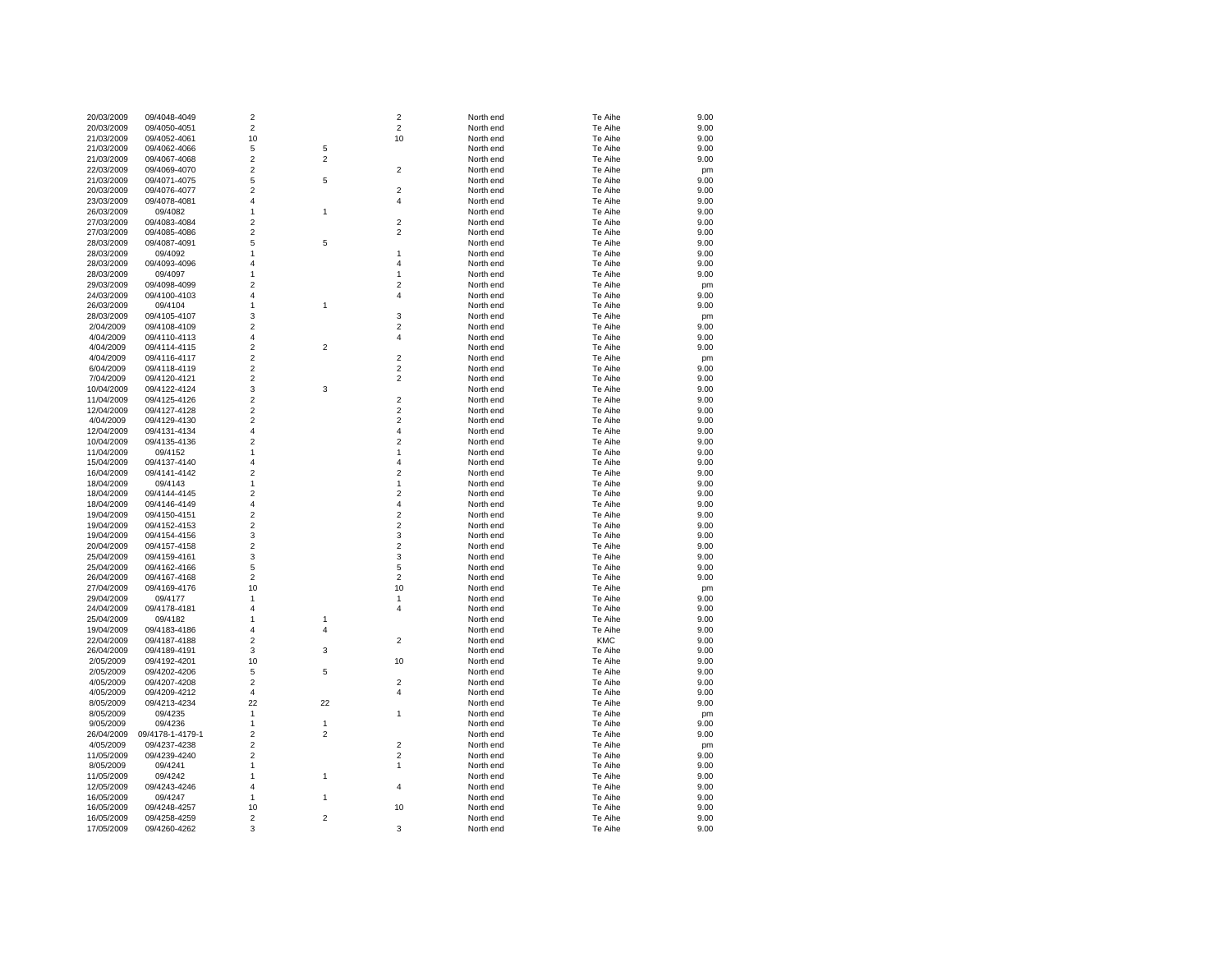| 20/03/2009 | 09/4048-4049     | $\overline{2}$          |                | $\overline{2}$          | North end | Te Aihe    | 9.00 |
|------------|------------------|-------------------------|----------------|-------------------------|-----------|------------|------|
| 20/03/2009 | 09/4050-4051     | $\boldsymbol{2}$        |                | $\boldsymbol{2}$        | North end | Te Aihe    | 9.00 |
| 21/03/2009 | 09/4052-4061     | 10                      |                | 10                      | North end | Te Aihe    | 9.00 |
| 21/03/2009 | 09/4062-4066     | 5                       | 5              |                         | North end | Te Aihe    | 9.00 |
|            | 09/4067-4068     | $\overline{c}$          | $\overline{2}$ |                         |           |            | 9.00 |
| 21/03/2009 |                  |                         |                |                         | North end | Te Aihe    |      |
| 22/03/2009 | 09/4069-4070     | $\overline{c}$          |                | 2                       | North end | Te Aihe    | pm   |
| 21/03/2009 | 09/4071-4075     | 5                       | 5              |                         | North end | Te Aihe    | 9.00 |
| 20/03/2009 | 09/4076-4077     | $\overline{2}$          |                | $\overline{2}$          | North end | Te Aihe    | 9.00 |
| 23/03/2009 | 09/4078-4081     | 4                       |                | 4                       | North end | Te Aihe    | 9.00 |
| 26/03/2009 | 09/4082          | 1                       | 1              |                         | North end | Te Aihe    | 9.00 |
| 27/03/2009 | 09/4083-4084     | $\overline{2}$          |                | $\overline{\mathbf{c}}$ | North end | Te Aihe    | 9.00 |
| 27/03/2009 | 09/4085-4086     | $\overline{2}$          |                | $\overline{\mathbf{c}}$ | North end | Te Aihe    | 9.00 |
| 28/03/2009 | 09/4087-4091     | 5                       | 5              |                         | North end | Te Aihe    | 9.00 |
|            |                  |                         |                |                         |           |            |      |
| 28/03/2009 | 09/4092          | 1                       |                | 1                       | North end | Te Aihe    | 9.00 |
| 28/03/2009 | 09/4093-4096     | 4                       |                | 4                       | North end | Te Aihe    | 9.00 |
| 28/03/2009 | 09/4097          | 1                       |                | 1                       | North end | Te Aihe    | 9.00 |
| 29/03/2009 | 09/4098-4099     | $\overline{2}$          |                | $\overline{2}$          | North end | Te Aihe    | pm   |
| 24/03/2009 | 09/4100-4103     | $\overline{4}$          |                | $\overline{4}$          | North end | Te Aihe    | 9.00 |
| 26/03/2009 | 09/4104          | 1                       | 1              |                         | North end | Te Aihe    | 9.00 |
| 28/03/2009 | 09/4105-4107     | 3                       |                | 3                       | North end | Te Aihe    | pm   |
| 2/04/2009  | 09/4108-4109     | $\overline{2}$          |                | $\overline{\mathbf{c}}$ | North end | Te Aihe    | 9.00 |
|            |                  |                         |                |                         |           |            |      |
| 4/04/2009  | 09/4110-4113     | 4                       |                | 4                       | North end | Te Aihe    | 9.00 |
| 4/04/2009  | 09/4114-4115     | $\overline{2}$          | $\overline{2}$ |                         | North end | Te Aihe    | 9.00 |
| 4/04/2009  | 09/4116-4117     | $\overline{c}$          |                | $\overline{\mathbf{c}}$ | North end | Te Aihe    | pm   |
| 6/04/2009  | 09/4118-4119     | $\overline{c}$          |                | $\overline{\mathbf{c}}$ | North end | Te Aihe    | 9.00 |
| 7/04/2009  | 09/4120-4121     | $\overline{c}$          |                | $\overline{\mathbf{c}}$ | North end | Te Aihe    | 9.00 |
| 10/04/2009 | 09/4122-4124     | 3                       | 3              |                         | North end | Te Aihe    | 9.00 |
| 11/04/2009 | 09/4125-4126     | $\overline{c}$          |                | $\overline{\mathbf{c}}$ | North end | Te Aihe    | 9.00 |
| 12/04/2009 | 09/4127-4128     | $\overline{2}$          |                | $\overline{2}$          | North end | Te Aihe    | 9.00 |
|            |                  |                         |                |                         |           |            |      |
| 4/04/2009  | 09/4129-4130     | $\overline{\mathbf{c}}$ |                | $\overline{c}$          | North end | Te Aihe    | 9.00 |
| 12/04/2009 | 09/4131-4134     | $\overline{4}$          |                | 4                       | North end | Te Aihe    | 9.00 |
| 10/04/2009 | 09/4135-4136     | $\overline{2}$          |                | $\overline{2}$          | North end | Te Aihe    | 9.00 |
| 11/04/2009 | 09/4152          | 1                       |                | 1                       | North end | Te Aihe    | 9.00 |
| 15/04/2009 | 09/4137-4140     | 4                       |                | 4                       | North end | Te Aihe    | 9.00 |
| 16/04/2009 | 09/4141-4142     | $\overline{2}$          |                | $\overline{2}$          | North end | Te Aihe    | 9.00 |
| 18/04/2009 | 09/4143          | 1                       |                | 1                       | North end | Te Aihe    | 9.00 |
| 18/04/2009 | 09/4144-4145     | 2                       |                | 2                       | North end | Te Aihe    | 9.00 |
|            |                  |                         |                |                         |           |            |      |
| 18/04/2009 | 09/4146-4149     | $\overline{4}$          |                | 4                       | North end | Te Aihe    | 9.00 |
| 19/04/2009 | 09/4150-4151     | $\overline{2}$          |                | $\overline{c}$          | North end | Te Aihe    | 9.00 |
| 19/04/2009 | 09/4152-4153     | $\overline{c}$          |                | $\overline{c}$          | North end | Te Aihe    | 9.00 |
| 19/04/2009 | 09/4154-4156     | 3                       |                | 3                       | North end | Te Aihe    | 9.00 |
| 20/04/2009 | 09/4157-4158     | $\overline{2}$          |                | $\overline{\mathbf{c}}$ | North end | Te Aihe    | 9.00 |
| 25/04/2009 | 09/4159-4161     | 3                       |                | 3                       | North end | Te Aihe    | 9.00 |
| 25/04/2009 | 09/4162-4166     | 5                       |                | 5                       | North end | Te Aihe    | 9.00 |
| 26/04/2009 | 09/4167-4168     | $\boldsymbol{2}$        |                | $\overline{\mathbf{c}}$ | North end | Te Aihe    | 9.00 |
|            |                  | 10                      |                | 10                      | North end | Te Aihe    |      |
| 27/04/2009 | 09/4169-4176     |                         |                |                         |           |            | pm   |
| 29/04/2009 | 09/4177          | $\mathbf{1}$            |                | 1                       | North end | Te Aihe    | 9.00 |
| 24/04/2009 | 09/4178-4181     | 4                       |                | $\overline{4}$          | North end | Te Aihe    | 9.00 |
| 25/04/2009 | 09/4182          | 1                       | $\mathbf{1}$   |                         | North end | Te Aihe    | 9.00 |
| 19/04/2009 | 09/4183-4186     | $\overline{4}$          | 4              |                         | North end | Te Aihe    | 9.00 |
| 22/04/2009 | 09/4187-4188     | $\overline{c}$          |                | $\overline{2}$          | North end | <b>KMC</b> | 9.00 |
| 26/04/2009 | 09/4189-4191     | 3                       | 3              |                         | North end | Te Aihe    | 9.00 |
| 2/05/2009  | 09/4192-4201     | 10                      |                | 10                      | North end | Te Aihe    | 9.00 |
|            | 09/4202-4206     | 5                       | 5              |                         | North end | Te Aihe    |      |
| 2/05/2009  |                  |                         |                |                         |           |            | 9.00 |
| 4/05/2009  | 09/4207-4208     | $\overline{c}$          |                | $\overline{\mathbf{c}}$ | North end | Te Aihe    | 9.00 |
| 4/05/2009  | 09/4209-4212     | $\overline{4}$          |                | 4                       | North end | Te Aihe    | 9.00 |
| 8/05/2009  | 09/4213-4234     | 22                      | 22             |                         | North end | Te Aihe    | 9.00 |
| 8/05/2009  | 09/4235          | 1                       |                | 1                       | North end | Te Aihe    | pm   |
| 9/05/2009  | 09/4236          | $\mathbf{1}$            | $\mathbf{1}$   |                         | North end | Te Aihe    | 9.00 |
| 26/04/2009 | 09/4178-1-4179-1 | $\overline{2}$          | $\overline{2}$ |                         | North end | Te Aihe    | 9.00 |
| 4/05/2009  | 09/4237-4238     | $\overline{2}$          |                | $\overline{2}$          | North end | Te Aihe    | pm   |
| 11/05/2009 | 09/4239-4240     | $\overline{2}$          |                | 2                       | North end | Te Aihe    | 9.00 |
|            |                  |                         |                |                         |           |            |      |
| 8/05/2009  | 09/4241          | 1                       |                | 1                       | North end | Te Aihe    | 9.00 |
| 11/05/2009 | 09/4242          | 1                       | 1              |                         | North end | Te Aihe    | 9.00 |
| 12/05/2009 | 09/4243-4246     | $\overline{4}$          |                | 4                       | North end | Te Aihe    | 9.00 |
| 16/05/2009 | 09/4247          | 1                       | $\mathbf{1}$   |                         | North end | Te Aihe    | 9.00 |
| 16/05/2009 | 09/4248-4257     | 10                      |                | 10                      | North end | Te Aihe    | 9.00 |
| 16/05/2009 | 09/4258-4259     | $\overline{c}$          | $\overline{2}$ |                         | North end | Te Aihe    | 9.00 |
| 17/05/2009 | 09/4260-4262     | 3                       |                | 3                       | North end | Te Aihe    | 9.00 |
|            |                  |                         |                |                         |           |            |      |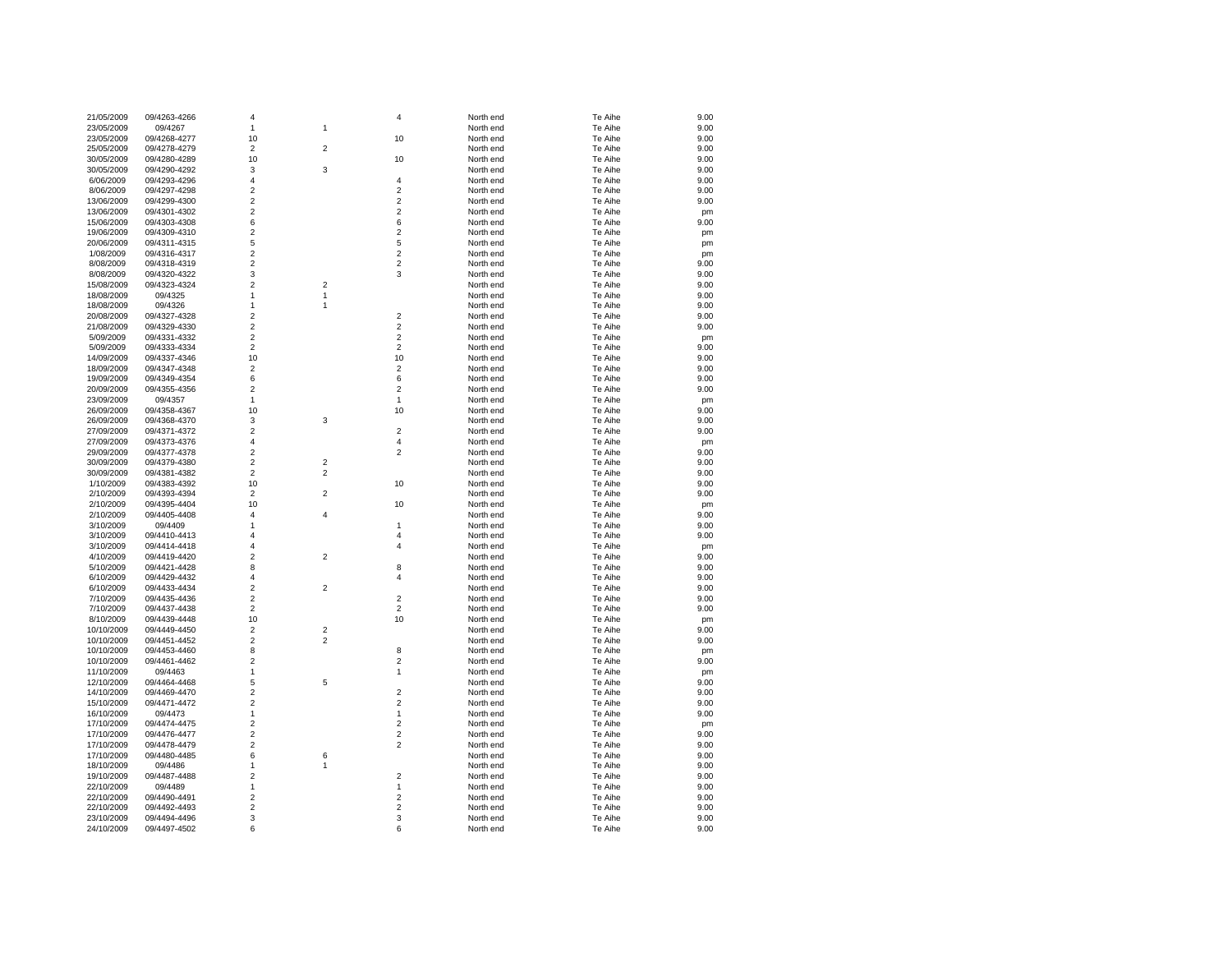| 21/05/2009 | 09/4263-4266 | $\overline{\mathbf{4}}$ |                         | 4                       | North end | Te Aihe | 9.00       |
|------------|--------------|-------------------------|-------------------------|-------------------------|-----------|---------|------------|
| 23/05/2009 | 09/4267      | 1                       | 1                       |                         | North end | Te Aihe | 9.00       |
| 23/05/2009 | 09/4268-4277 | 10                      |                         | 10                      | North end | Te Aihe | 9.00       |
| 25/05/2009 | 09/4278-4279 | $\overline{2}$          | $\overline{2}$          |                         | North end | Te Aihe | 9.00       |
| 30/05/2009 | 09/4280-4289 | 10                      |                         | 10                      | North end | Te Aihe | 9.00       |
| 30/05/2009 | 09/4290-4292 | 3                       | 3                       |                         | North end | Te Aihe | 9.00       |
| 6/06/2009  | 09/4293-4296 | $\overline{4}$          |                         | $\overline{4}$          | North end | Te Aihe | 9.00       |
| 8/06/2009  | 09/4297-4298 | $\overline{2}$          |                         | $\overline{c}$          | North end | Te Aihe | 9.00       |
| 13/06/2009 | 09/4299-4300 | $\overline{2}$          |                         | $\overline{c}$          | North end | Te Aihe | 9.00       |
| 13/06/2009 | 09/4301-4302 | $\overline{2}$          |                         | $\overline{c}$          | North end | Te Aihe | pm         |
| 15/06/2009 | 09/4303-4308 | 6                       |                         | 6                       | North end | Te Aihe | 9.00       |
| 19/06/2009 | 09/4309-4310 | $\overline{2}$          |                         | $\overline{2}$          | North end | Te Aihe | pm         |
| 20/06/2009 | 09/4311-4315 | 5                       |                         | 5                       | North end | Te Aihe | pm         |
| 1/08/2009  | 09/4316-4317 | $\overline{2}$          |                         | $\overline{2}$          | North end | Te Aihe | pm         |
| 8/08/2009  | 09/4318-4319 | $\overline{2}$          |                         | $\overline{2}$          | North end | Te Aihe | 9.00       |
| 8/08/2009  | 09/4320-4322 | $\mathsf 3$             |                         | 3                       | North end | Te Aihe | 9.00       |
| 15/08/2009 | 09/4323-4324 | $\overline{2}$          | $\overline{\mathbf{c}}$ |                         | North end | Te Aihe | 9.00       |
| 18/08/2009 | 09/4325      | $\mathbf{1}$            | $\mathbf{1}$            |                         | North end | Te Aihe | 9.00       |
| 18/08/2009 | 09/4326      | 1                       | 1                       |                         | North end | Te Aihe | 9.00       |
| 20/08/2009 | 09/4327-4328 | $\overline{2}$          |                         | $\overline{c}$          | North end | Te Aihe | 9.00       |
| 21/08/2009 | 09/4329-4330 | $\overline{c}$          |                         | $\overline{2}$          | North end | Te Aihe | 9.00       |
| 5/09/2009  | 09/4331-4332 | $\mathbf 2$             |                         | $\overline{2}$          | North end | Te Aihe |            |
| 5/09/2009  | 09/4333-4334 | $\overline{2}$          |                         | $\overline{2}$          | North end | Te Aihe | pm<br>9.00 |
|            |              | 10                      |                         | 10                      | North end | Te Aihe | 9.00       |
| 14/09/2009 | 09/4337-4346 | $\overline{2}$          |                         | $\overline{c}$          |           |         |            |
| 18/09/2009 | 09/4347-4348 |                         |                         |                         | North end | Te Aihe | 9.00       |
| 19/09/2009 | 09/4349-4354 | 6<br>$\overline{2}$     |                         | 6<br>$\overline{2}$     | North end | Te Aihe | 9.00       |
| 20/09/2009 | 09/4355-4356 |                         |                         |                         | North end | Te Aihe | 9.00       |
| 23/09/2009 | 09/4357      | $\mathbf{1}$            |                         | 1                       | North end | Te Aihe | pm         |
| 26/09/2009 | 09/4358-4367 | 10                      |                         | 10                      | North end | Te Aihe | 9.00       |
| 26/09/2009 | 09/4368-4370 | 3                       | 3                       |                         | North end | Te Aihe | 9.00       |
| 27/09/2009 | 09/4371-4372 | $\overline{2}$          |                         | $\overline{2}$          | North end | Te Aihe | 9.00       |
| 27/09/2009 | 09/4373-4376 | $\overline{4}$          |                         | 4                       | North end | Te Aihe | pm         |
| 29/09/2009 | 09/4377-4378 | $\overline{2}$          |                         | $\overline{2}$          | North end | Te Aihe | 9.00       |
| 30/09/2009 | 09/4379-4380 | $\mathbf 2$             | $\overline{\mathbf{c}}$ |                         | North end | Te Aihe | 9.00       |
| 30/09/2009 | 09/4381-4382 | $\overline{2}$          | $\overline{c}$          |                         | North end | Te Aihe | 9.00       |
| 1/10/2009  | 09/4383-4392 | 10                      |                         | 10                      | North end | Te Aihe | 9.00       |
| 2/10/2009  | 09/4393-4394 | $\overline{2}$          | $\overline{2}$          |                         | North end | Te Aihe | 9.00       |
| 2/10/2009  | 09/4395-4404 | 10                      |                         | 10                      | North end | Te Aihe | pm         |
| 2/10/2009  | 09/4405-4408 | $\overline{4}$          | $\overline{4}$          |                         | North end | Te Aihe | 9.00       |
| 3/10/2009  | 09/4409      | 1                       |                         | 1                       | North end | Te Aihe | 9.00       |
| 3/10/2009  | 09/4410-4413 | $\overline{\mathbf{4}}$ |                         | 4                       | North end | Te Aihe | 9.00       |
| 3/10/2009  | 09/4414-4418 | $\overline{4}$          |                         | 4                       | North end | Te Aihe | pm         |
| 4/10/2009  | 09/4419-4420 | $\overline{2}$          | $\overline{2}$          |                         | North end | Te Aihe | 9.00       |
| 5/10/2009  | 09/4421-4428 | 8                       |                         | 8                       | North end | Te Aihe | 9.00       |
| 6/10/2009  | 09/4429-4432 | $\overline{4}$          |                         | $\overline{4}$          | North end | Te Aihe | 9.00       |
| 6/10/2009  | 09/4433-4434 | $\overline{c}$          | $\overline{2}$          |                         | North end | Te Aihe | 9.00       |
| 7/10/2009  | 09/4435-4436 | $\overline{2}$          |                         | 2                       | North end | Te Aihe | 9.00       |
| 7/10/2009  | 09/4437-4438 | $\overline{2}$          |                         | $\overline{2}$          | North end | Te Aihe | 9.00       |
| 8/10/2009  | 09/4439-4448 | 10                      |                         | 10                      | North end | Te Aihe | pm         |
| 10/10/2009 | 09/4449-4450 | $\overline{2}$          | $\overline{c}$          |                         | North end | Te Aihe | 9.00       |
| 10/10/2009 | 09/4451-4452 | $\overline{2}$          | $\overline{c}$          |                         | North end | Te Aihe | 9.00       |
| 10/10/2009 | 09/4453-4460 | 8                       |                         | 8                       | North end | Te Aihe | pm         |
| 10/10/2009 | 09/4461-4462 | $\overline{2}$          |                         | $\overline{2}$          | North end | Te Aihe | 9.00       |
| 11/10/2009 | 09/4463      | $\mathbf{1}$            |                         | $\mathbf{1}$            | North end | Te Aihe | pm         |
| 12/10/2009 | 09/4464-4468 | 5                       | 5                       |                         | North end | Te Aihe | 9.00       |
| 14/10/2009 | 09/4469-4470 | $\overline{2}$          |                         | 2                       | North end | Te Aihe | 9.00       |
| 15/10/2009 | 09/4471-4472 | $\overline{2}$          |                         | $\overline{2}$          | North end | Te Aihe | 9.00       |
| 16/10/2009 | 09/4473      | 1                       |                         | 1                       | North end | Te Aihe | 9.00       |
| 17/10/2009 | 09/4474-4475 | $\overline{2}$          |                         | $\overline{c}$          | North end | Te Aihe | pm         |
| 17/10/2009 | 09/4476-4477 | $\overline{2}$          |                         | $\overline{2}$          | North end | Te Aihe | 9.00       |
| 17/10/2009 | 09/4478-4479 | $\overline{2}$          |                         | $\overline{2}$          | North end | Te Aihe | 9.00       |
| 17/10/2009 | 09/4480-4485 | 6                       | 6                       |                         | North end | Te Aihe | 9.00       |
| 18/10/2009 | 09/4486      | 1                       | 1                       |                         | North end | Te Aihe | 9.00       |
| 19/10/2009 | 09/4487-4488 | $\mathbf 2$             |                         | $\overline{\mathbf{c}}$ | North end | Te Aihe | 9.00       |
| 22/10/2009 | 09/4489      | $\mathbf{1}$            |                         | 1                       | North end | Te Aihe | 9.00       |
| 22/10/2009 | 09/4490-4491 | $\overline{c}$          |                         | $\overline{c}$          | North end | Te Aihe | 9.00       |
| 22/10/2009 | 09/4492-4493 | $\overline{c}$          |                         | $\overline{2}$          | North end | Te Aihe | 9.00       |
| 23/10/2009 | 09/4494-4496 | 3                       |                         | 3                       | North end | Te Aihe | 9.00       |
| 24/10/2009 | 09/4497-4502 | 6                       |                         | 6                       | North end | Te Aihe | 9.00       |
|            |              |                         |                         |                         |           |         |            |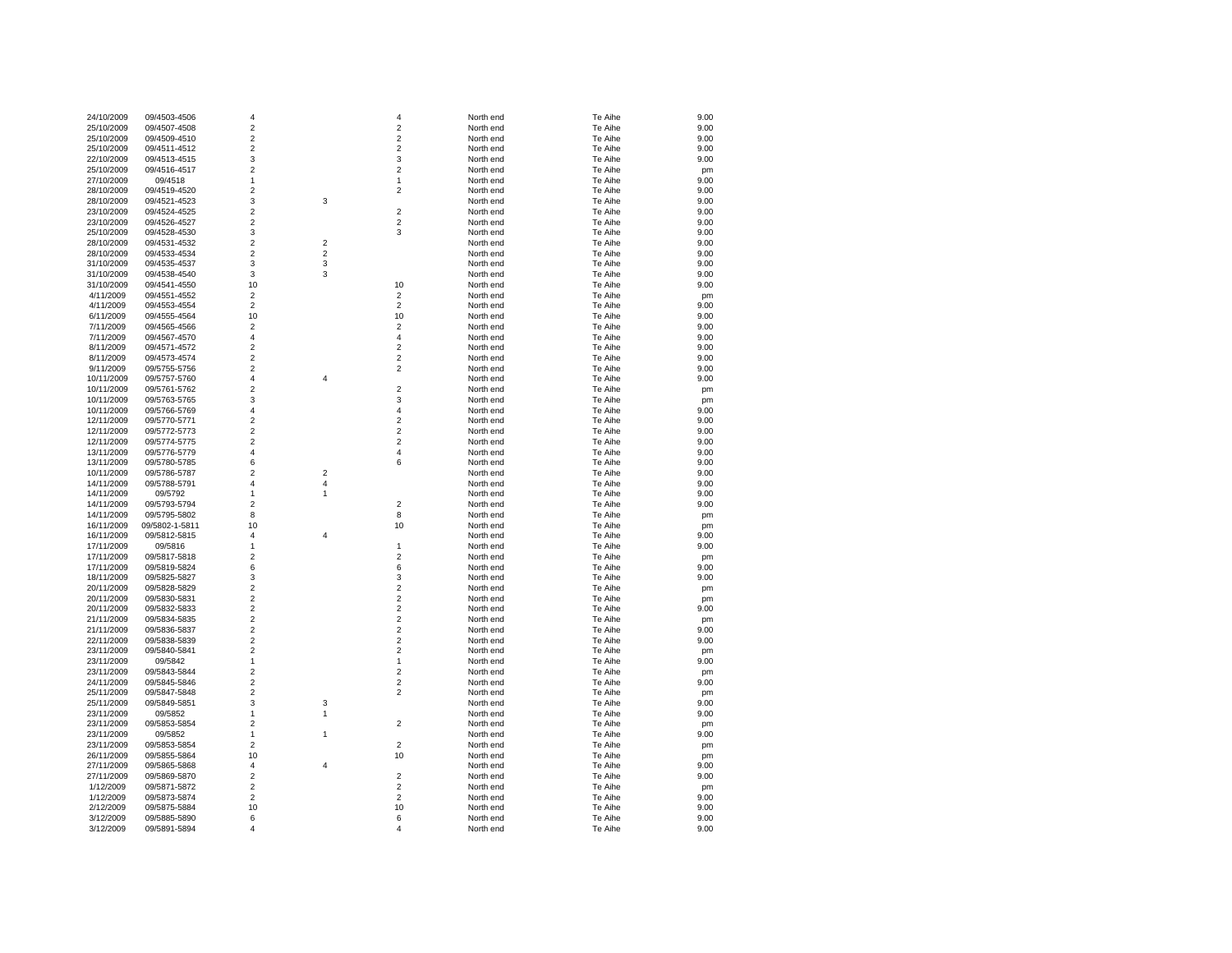| 24/10/2009 | 09/4503-4506   | 4                       |                | 4              | North end | Te Aihe | 9.00 |
|------------|----------------|-------------------------|----------------|----------------|-----------|---------|------|
| 25/10/2009 | 09/4507-4508   | $\overline{\mathbf{c}}$ |                | $\overline{c}$ | North end | Te Aihe | 9.00 |
| 25/10/2009 | 09/4509-4510   | $\overline{2}$          |                | $\overline{2}$ | North end | Te Aihe | 9.00 |
| 25/10/2009 | 09/4511-4512   | $\overline{\mathbf{c}}$ |                | $\overline{2}$ | North end | Te Aihe | 9.00 |
| 22/10/2009 | 09/4513-4515   | 3                       |                | 3              | North end | Te Aihe | 9.00 |
|            |                |                         |                |                |           |         |      |
| 25/10/2009 | 09/4516-4517   | $\overline{c}$          |                | $\overline{2}$ | North end | Te Aihe | pm   |
| 27/10/2009 | 09/4518        | $\mathbf{1}$            |                | 1              | North end | Te Aihe | 9.00 |
| 28/10/2009 | 09/4519-4520   | $\overline{2}$          |                | $\overline{2}$ | North end | Te Aihe | 9.00 |
| 28/10/2009 | 09/4521-4523   | 3                       | 3              |                | North end | Te Aihe | 9.00 |
| 23/10/2009 | 09/4524-4525   | $\overline{2}$          |                | $\overline{2}$ | North end | Te Aihe | 9.00 |
| 23/10/2009 | 09/4526-4527   | $\overline{2}$          |                | $\overline{2}$ | North end | Te Aihe | 9.00 |
| 25/10/2009 | 09/4528-4530   | 3                       |                | 3              | North end | Te Aihe | 9.00 |
| 28/10/2009 | 09/4531-4532   | $\overline{2}$          | $\overline{c}$ |                | North end | Te Aihe | 9.00 |
| 28/10/2009 | 09/4533-4534   | $\overline{c}$          | 2              |                | North end | Te Aihe | 9.00 |
| 31/10/2009 | 09/4535-4537   | 3                       | 3              |                | North end | Te Aihe | 9.00 |
|            |                |                         |                |                |           |         |      |
| 31/10/2009 | 09/4538-4540   | 3                       | 3              |                | North end | Te Aihe | 9.00 |
| 31/10/2009 | 09/4541-4550   | 10                      |                | 10             | North end | Te Aihe | 9.00 |
| 4/11/2009  | 09/4551-4552   | $\overline{2}$          |                | $\overline{2}$ | North end | Te Aihe | pm   |
| 4/11/2009  | 09/4553-4554   | $\overline{c}$          |                | $\overline{2}$ | North end | Te Aihe | 9.00 |
| 6/11/2009  | 09/4555-4564   | 10                      |                | 10             | North end | Te Aihe | 9.00 |
| 7/11/2009  | 09/4565-4566   | $\overline{c}$          |                | $\overline{2}$ | North end | Te Aihe | 9.00 |
| 7/11/2009  | 09/4567-4570   | 4                       |                | $\overline{4}$ | North end | Te Aihe | 9.00 |
| 8/11/2009  | 09/4571-4572   | $\overline{2}$          |                | $\overline{2}$ | North end | Te Aihe | 9.00 |
| 8/11/2009  | 09/4573-4574   | $\overline{c}$          |                | $\overline{2}$ | North end | Te Aihe | 9.00 |
| 9/11/2009  | 09/5755-5756   | $\overline{2}$          |                | $\overline{2}$ | North end | Te Aihe | 9.00 |
| 10/11/2009 | 09/5757-5760   | $\overline{4}$          | 4              |                | North end | Te Aihe | 9.00 |
|            |                |                         |                |                |           |         |      |
| 10/11/2009 | 09/5761-5762   | $\overline{\mathbf{c}}$ |                | $\overline{c}$ | North end | Te Aihe | pm   |
| 10/11/2009 | 09/5763-5765   | 3                       |                | 3              | North end | Te Aihe | pm   |
| 10/11/2009 | 09/5766-5769   | 4                       |                | 4              | North end | Te Aihe | 9.00 |
| 12/11/2009 | 09/5770-5771   | $\overline{2}$          |                | $\overline{2}$ | North end | Te Aihe | 9.00 |
| 12/11/2009 | 09/5772-5773   | $\overline{2}$          |                | $\overline{2}$ | North end | Te Aihe | 9.00 |
| 12/11/2009 | 09/5774-5775   | $\overline{c}$          |                | $\overline{2}$ | North end | Te Aihe | 9.00 |
| 13/11/2009 | 09/5776-5779   | $\overline{4}$          |                | $\overline{4}$ | North end | Te Aihe | 9.00 |
| 13/11/2009 | 09/5780-5785   | 6                       |                | 6              | North end | Te Aihe | 9.00 |
| 10/11/2009 | 09/5786-5787   | $\overline{c}$          | $\overline{c}$ |                | North end | Te Aihe | 9.00 |
| 14/11/2009 | 09/5788-5791   | $\overline{\mathbf{4}}$ | 4              |                | North end | Te Aihe | 9.00 |
| 14/11/2009 | 09/5792        | 1                       | 1              |                | North end | Te Aihe | 9.00 |
|            |                |                         |                |                |           |         |      |
| 14/11/2009 | 09/5793-5794   | $\overline{c}$          |                | $\overline{2}$ | North end | Te Aihe | 9.00 |
| 14/11/2009 | 09/5795-5802   | 8                       |                | 8              | North end | Te Aihe | pm   |
| 16/11/2009 | 09/5802-1-5811 | 10                      |                | 10             | North end | Te Aihe | pm   |
| 16/11/2009 | 09/5812-5815   | $\overline{4}$          | 4              |                | North end | Te Aihe | 9.00 |
| 17/11/2009 | 09/5816        | $\mathbf{1}$            |                | $\mathbf{1}$   | North end | Te Aihe | 9.00 |
| 17/11/2009 | 09/5817-5818   | $\overline{2}$          |                | $\overline{2}$ | North end | Te Aihe | pm   |
| 17/11/2009 | 09/5819-5824   | 6                       |                | 6              | North end | Te Aihe | 9.00 |
| 18/11/2009 | 09/5825-5827   | 3                       |                | 3              | North end | Te Aihe | 9.00 |
| 20/11/2009 | 09/5828-5829   | $\overline{c}$          |                | $\overline{2}$ | North end | Te Aihe | pm   |
| 20/11/2009 | 09/5830-5831   | $\overline{c}$          |                | $\overline{2}$ | North end | Te Aihe | pm   |
| 20/11/2009 | 09/5832-5833   | $\overline{c}$          |                | $\overline{2}$ | North end | Te Aihe | 9.00 |
| 21/11/2009 | 09/5834-5835   | $\overline{2}$          |                | $\overline{2}$ | North end | Te Aihe |      |
|            |                | $\overline{2}$          |                |                |           |         | pm   |
| 21/11/2009 | 09/5836-5837   |                         |                | $\overline{2}$ | North end | Te Aihe | 9.00 |
| 22/11/2009 | 09/5838-5839   | $\overline{c}$          |                | $\overline{2}$ | North end | Te Aihe | 9.00 |
| 23/11/2009 | 09/5840-5841   | $\overline{c}$          |                | $\overline{2}$ | North end | Te Aihe | pm   |
| 23/11/2009 | 09/5842        | $\mathbf{1}$            |                | $\mathbf{1}$   | North end | Te Aihe | 9.00 |
| 23/11/2009 | 09/5843-5844   | $\overline{2}$          |                | $\overline{2}$ | North end | Te Aihe | pm   |
| 24/11/2009 | 09/5845-5846   | $\overline{2}$          |                | $\overline{2}$ | North end | Te Aihe | 9.00 |
| 25/11/2009 | 09/5847-5848   | $\overline{2}$          |                | $\overline{2}$ | North end | Te Aihe | pm   |
| 25/11/2009 | 09/5849-5851   | 3                       | 3              |                | North end | Te Aihe | 9.00 |
| 23/11/2009 | 09/5852        | 1                       | 1              |                | North end | Te Aihe | 9.00 |
| 23/11/2009 | 09/5853-5854   | $\overline{c}$          |                | $\overline{2}$ | North end | Te Aihe | pm   |
| 23/11/2009 | 09/5852        | $\mathbf{1}$            | 1              |                | North end | Te Aihe | 9.00 |
|            |                | $\overline{2}$          |                | $\overline{2}$ |           | Te Aihe |      |
| 23/11/2009 | 09/5853-5854   |                         |                |                | North end |         | pm   |
| 26/11/2009 | 09/5855-5864   | 10                      |                | 10             | North end | Te Aihe | pm   |
| 27/11/2009 | 09/5865-5868   | 4                       | 4              |                | North end | Te Aihe | 9.00 |
| 27/11/2009 | 09/5869-5870   | $\overline{2}$          |                | $\overline{2}$ | North end | Te Aihe | 9.00 |
| 1/12/2009  | 09/5871-5872   | $\overline{2}$          |                | $\overline{2}$ | North end | Te Aihe | pm   |
| 1/12/2009  | 09/5873-5874   | $\overline{2}$          |                | $\overline{2}$ | North end | Te Aihe | 9.00 |
| 2/12/2009  | 09/5875-5884   | 10                      |                | 10             | North end | Te Aihe | 9.00 |
| 3/12/2009  | 09/5885-5890   | 6                       |                | 6              | North end | Te Aihe | 9.00 |
| 3/12/2009  | 09/5891-5894   | $\overline{a}$          |                | $\Delta$       | North end | Te Aihe | 9.00 |
|            |                |                         |                |                |           |         |      |